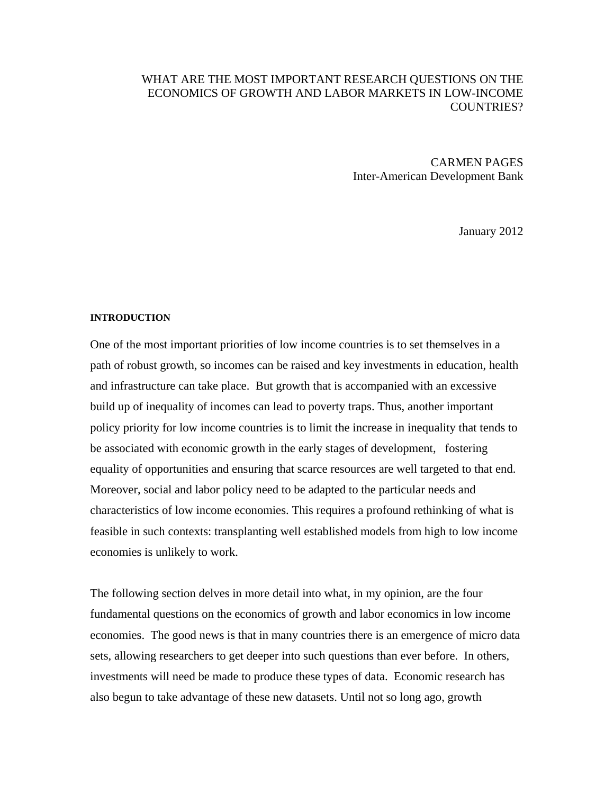## WHAT ARE THE MOST IMPORTANT RESEARCH QUESTIONS ON THE ECONOMICS OF GROWTH AND LABOR MARKETS IN LOW-INCOME COUNTRIES?

CARMEN PAGES Inter-American Development Bank

January 2012

#### **INTRODUCTION**

One of the most important priorities of low income countries is to set themselves in a path of robust growth, so incomes can be raised and key investments in education, health and infrastructure can take place. But growth that is accompanied with an excessive build up of inequality of incomes can lead to poverty traps. Thus, another important policy priority for low income countries is to limit the increase in inequality that tends to be associated with economic growth in the early stages of development, fostering equality of opportunities and ensuring that scarce resources are well targeted to that end. Moreover, social and labor policy need to be adapted to the particular needs and characteristics of low income economies. This requires a profound rethinking of what is feasible in such contexts: transplanting well established models from high to low income economies is unlikely to work.

The following section delves in more detail into what, in my opinion, are the four fundamental questions on the economics of growth and labor economics in low income economies. The good news is that in many countries there is an emergence of micro data sets, allowing researchers to get deeper into such questions than ever before. In others, investments will need be made to produce these types of data. Economic research has also begun to take advantage of these new datasets. Until not so long ago, growth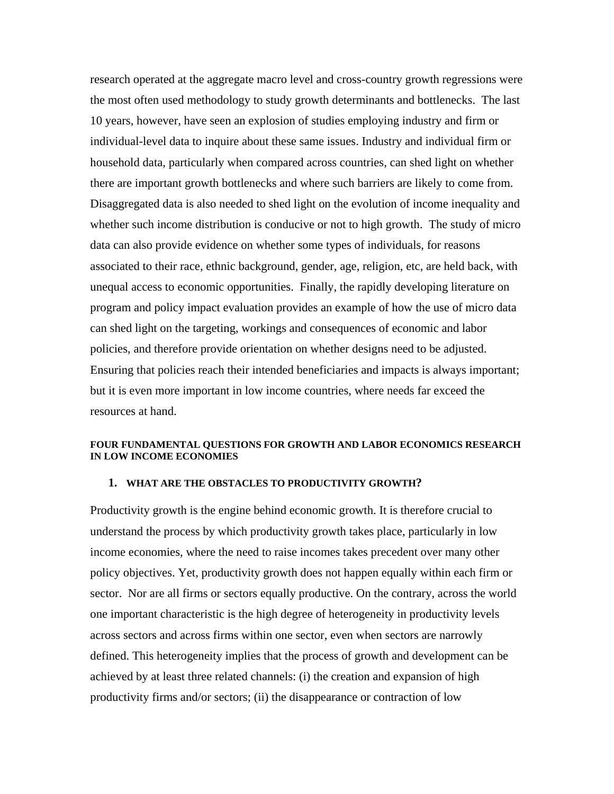research operated at the aggregate macro level and cross-country growth regressions were the most often used methodology to study growth determinants and bottlenecks. The last 10 years, however, have seen an explosion of studies employing industry and firm or individual-level data to inquire about these same issues. Industry and individual firm or household data, particularly when compared across countries, can shed light on whether there are important growth bottlenecks and where such barriers are likely to come from. Disaggregated data is also needed to shed light on the evolution of income inequality and whether such income distribution is conducive or not to high growth. The study of micro data can also provide evidence on whether some types of individuals, for reasons associated to their race, ethnic background, gender, age, religion, etc, are held back, with unequal access to economic opportunities. Finally, the rapidly developing literature on program and policy impact evaluation provides an example of how the use of micro data can shed light on the targeting, workings and consequences of economic and labor policies, and therefore provide orientation on whether designs need to be adjusted. Ensuring that policies reach their intended beneficiaries and impacts is always important; but it is even more important in low income countries, where needs far exceed the resources at hand.

### **FOUR FUNDAMENTAL QUESTIONS FOR GROWTH AND LABOR ECONOMICS RESEARCH IN LOW INCOME ECONOMIES**

#### **1. WHAT ARE THE OBSTACLES TO PRODUCTIVITY GROWTH?**

Productivity growth is the engine behind economic growth. It is therefore crucial to understand the process by which productivity growth takes place, particularly in low income economies, where the need to raise incomes takes precedent over many other policy objectives. Yet, productivity growth does not happen equally within each firm or sector. Nor are all firms or sectors equally productive. On the contrary, across the world one important characteristic is the high degree of heterogeneity in productivity levels across sectors and across firms within one sector, even when sectors are narrowly defined. This heterogeneity implies that the process of growth and development can be achieved by at least three related channels: (i) the creation and expansion of high productivity firms and/or sectors; (ii) the disappearance or contraction of low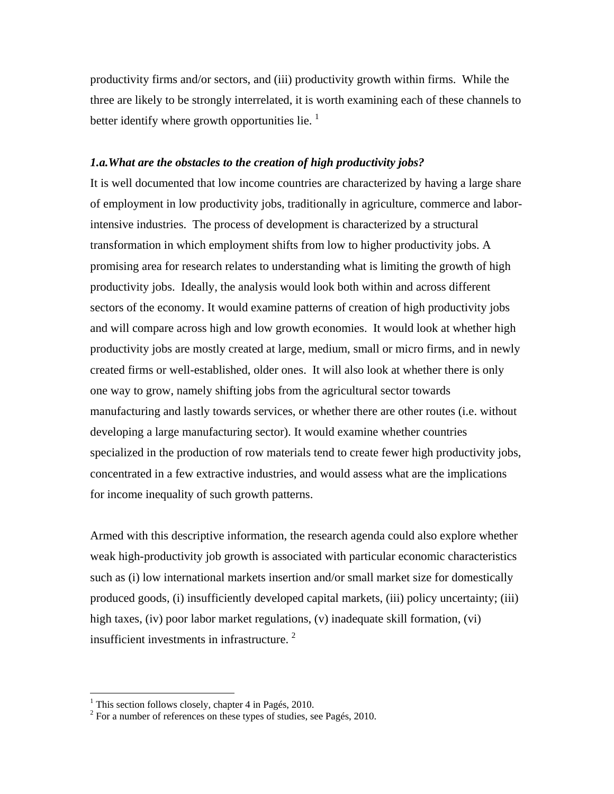productivity firms and/or sectors, and (iii) productivity growth within firms. While the three are likely to be strongly interrelated, it is worth examining each of these channels to better identify where growth opportunities lie.  $\frac{1}{1}$ 

#### *1.a.What are the obstacles to the creation of high productivity jobs?*

It is well documented that low income countries are characterized by having a large share of employment in low productivity jobs, traditionally in agriculture, commerce and laborintensive industries. The process of development is characterized by a structural transformation in which employment shifts from low to higher productivity jobs. A promising area for research relates to understanding what is limiting the growth of high productivity jobs. Ideally, the analysis would look both within and across different sectors of the economy. It would examine patterns of creation of high productivity jobs and will compare across high and low growth economies. It would look at whether high productivity jobs are mostly created at large, medium, small or micro firms, and in newly created firms or well-established, older ones. It will also look at whether there is only one way to grow, namely shifting jobs from the agricultural sector towards manufacturing and lastly towards services, or whether there are other routes (i.e. without developing a large manufacturing sector). It would examine whether countries specialized in the production of row materials tend to create fewer high productivity jobs, concentrated in a few extractive industries, and would assess what are the implications for income inequality of such growth patterns.

Armed with this descriptive information, the research agenda could also explore whether weak high-productivity job growth is associated with particular economic characteristics such as (i) low international markets insertion and/or small market size for domestically produced goods, (i) insufficiently developed capital markets, (iii) policy uncertainty; (iii) high taxes, (iv) poor labor market regulations, (v) inadequate skill formation, (vi) insufficient investments in infrastructure. [2](#page-2-1)

 $\overline{a}$ 

<span id="page-2-0"></span><sup>&</sup>lt;sup>1</sup> This section follows closely, chapter 4 in Pagés, 2010.

<span id="page-2-1"></span><sup>&</sup>lt;sup>2</sup> For a number of references on these types of studies, see Pagés, 2010.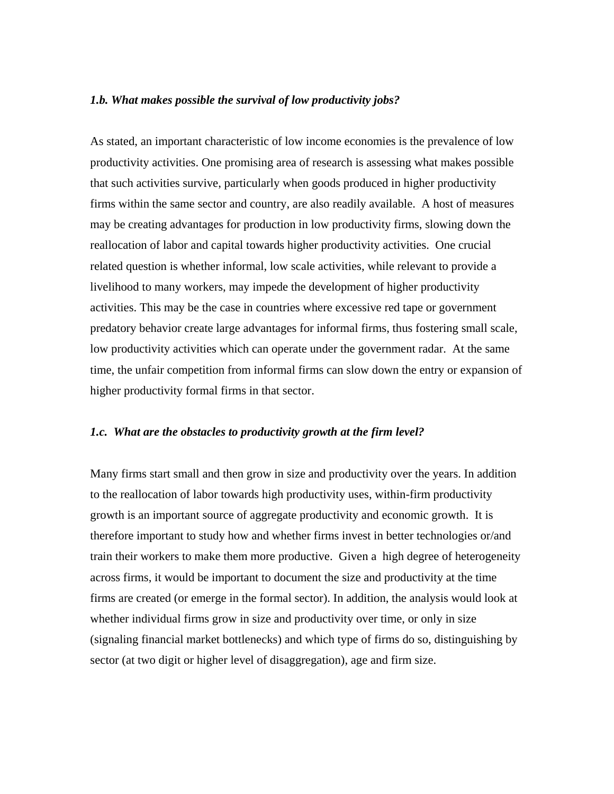### *1.b. What makes possible the survival of low productivity jobs?*

As stated, an important characteristic of low income economies is the prevalence of low productivity activities. One promising area of research is assessing what makes possible that such activities survive, particularly when goods produced in higher productivity firms within the same sector and country, are also readily available. A host of measures may be creating advantages for production in low productivity firms, slowing down the reallocation of labor and capital towards higher productivity activities. One crucial related question is whether informal, low scale activities, while relevant to provide a livelihood to many workers, may impede the development of higher productivity activities. This may be the case in countries where excessive red tape or government predatory behavior create large advantages for informal firms, thus fostering small scale, low productivity activities which can operate under the government radar. At the same time, the unfair competition from informal firms can slow down the entry or expansion of higher productivity formal firms in that sector.

#### *1.c. What are the obstacles to productivity growth at the firm level?*

Many firms start small and then grow in size and productivity over the years. In addition to the reallocation of labor towards high productivity uses, within-firm productivity growth is an important source of aggregate productivity and economic growth. It is therefore important to study how and whether firms invest in better technologies or/and train their workers to make them more productive. Given a high degree of heterogeneity across firms, it would be important to document the size and productivity at the time firms are created (or emerge in the formal sector). In addition, the analysis would look at whether individual firms grow in size and productivity over time, or only in size (signaling financial market bottlenecks) and which type of firms do so, distinguishing by sector (at two digit or higher level of disaggregation), age and firm size.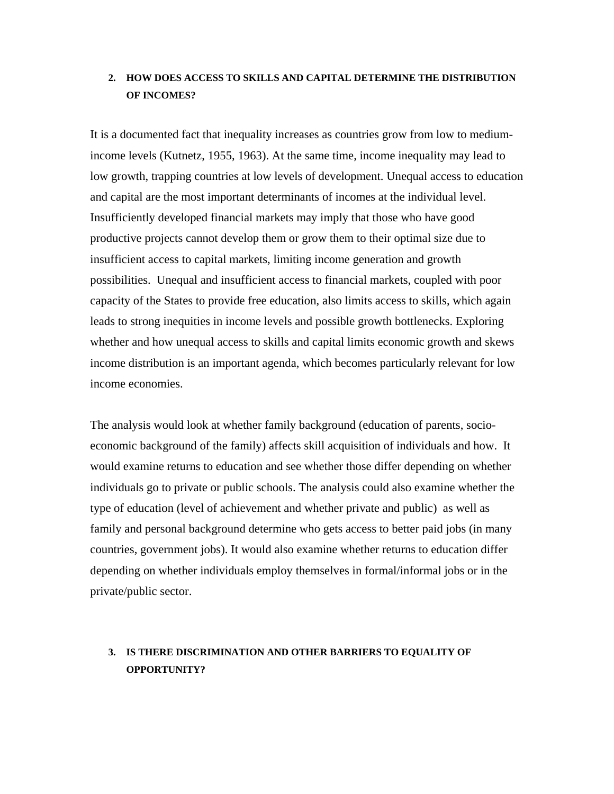# **2. HOW DOES ACCESS TO SKILLS AND CAPITAL DETERMINE THE DISTRIBUTION OF INCOMES?**

It is a documented fact that inequality increases as countries grow from low to mediumincome levels (Kutnetz, 1955, 1963). At the same time, income inequality may lead to low growth, trapping countries at low levels of development. Unequal access to education and capital are the most important determinants of incomes at the individual level. Insufficiently developed financial markets may imply that those who have good productive projects cannot develop them or grow them to their optimal size due to insufficient access to capital markets, limiting income generation and growth possibilities. Unequal and insufficient access to financial markets, coupled with poor capacity of the States to provide free education, also limits access to skills, which again leads to strong inequities in income levels and possible growth bottlenecks. Exploring whether and how unequal access to skills and capital limits economic growth and skews income distribution is an important agenda, which becomes particularly relevant for low income economies.

The analysis would look at whether family background (education of parents, socioeconomic background of the family) affects skill acquisition of individuals and how. It would examine returns to education and see whether those differ depending on whether individuals go to private or public schools. The analysis could also examine whether the type of education (level of achievement and whether private and public) as well as family and personal background determine who gets access to better paid jobs (in many countries, government jobs). It would also examine whether returns to education differ depending on whether individuals employ themselves in formal/informal jobs or in the private/public sector.

## **3. IS THERE DISCRIMINATION AND OTHER BARRIERS TO EQUALITY OF OPPORTUNITY?**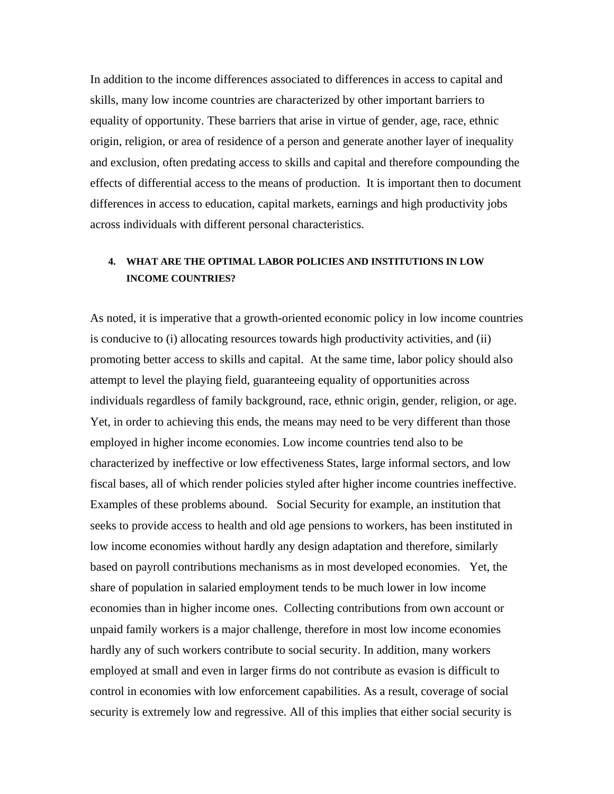In addition to the income differences associated to differences in access to capital and skills, many low income countries are characterized by other important barriers to equality of opportunity. These barriers that arise in virtue of gender, age, race, ethnic origin, religion, or area of residence of a person and generate another layer of inequality and exclusion, often predating access to skills and capital and therefore compounding the effects of differential access to the means of production. It is important then to document differences in access to education, capital markets, earnings and high productivity jobs across individuals with different personal characteristics.

# **4. WHAT ARE THE OPTIMAL LABOR POLICIES AND INSTITUTIONS IN LOW INCOME COUNTRIES?**

As noted, it is imperative that a growth-oriented economic policy in low income countries is conducive to (i) allocating resources towards high productivity activities, and (ii) promoting better access to skills and capital. At the same time, labor policy should also attempt to level the playing field, guaranteeing equality of opportunities across individuals regardless of family background, race, ethnic origin, gender, religion, or age. Yet, in order to achieving this ends, the means may need to be very different than those employed in higher income economies. Low income countries tend also to be characterized by ineffective or low effectiveness States, large informal sectors, and low fiscal bases, all of which render policies styled after higher income countries ineffective. Examples of these problems abound. Social Security for example, an institution that seeks to provide access to health and old age pensions to workers, has been instituted in low income economies without hardly any design adaptation and therefore, similarly based on payroll contributions mechanisms as in most developed economies. Yet, the share of population in salaried employment tends to be much lower in low income economies than in higher income ones. Collecting contributions from own account or unpaid family workers is a major challenge, therefore in most low income economies hardly any of such workers contribute to social security. In addition, many workers employed at small and even in larger firms do not contribute as evasion is difficult to control in economies with low enforcement capabilities. As a result, coverage of social security is extremely low and regressive. All of this implies that either social security is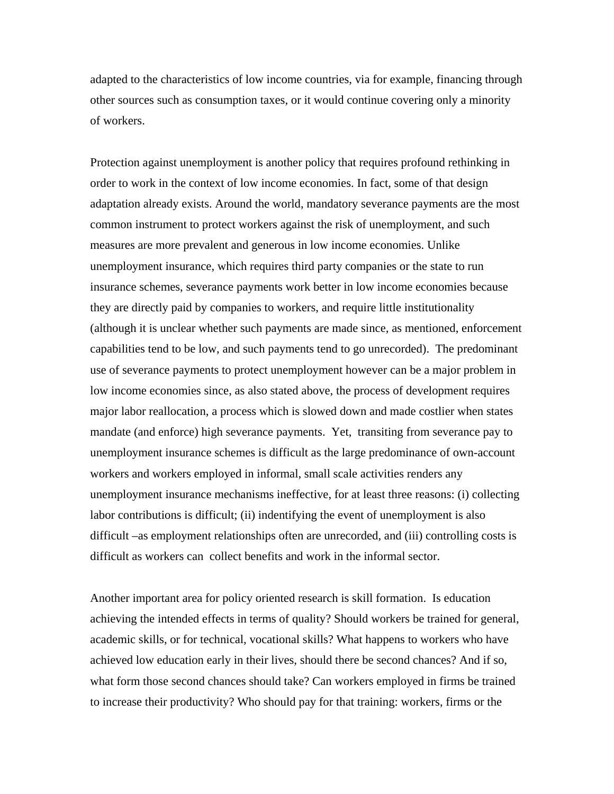adapted to the characteristics of low income countries, via for example, financing through other sources such as consumption taxes, or it would continue covering only a minority of workers.

Protection against unemployment is another policy that requires profound rethinking in order to work in the context of low income economies. In fact, some of that design adaptation already exists. Around the world, mandatory severance payments are the most common instrument to protect workers against the risk of unemployment, and such measures are more prevalent and generous in low income economies. Unlike unemployment insurance, which requires third party companies or the state to run insurance schemes, severance payments work better in low income economies because they are directly paid by companies to workers, and require little institutionality (although it is unclear whether such payments are made since, as mentioned, enforcement capabilities tend to be low, and such payments tend to go unrecorded). The predominant use of severance payments to protect unemployment however can be a major problem in low income economies since, as also stated above, the process of development requires major labor reallocation, a process which is slowed down and made costlier when states mandate (and enforce) high severance payments. Yet, transiting from severance pay to unemployment insurance schemes is difficult as the large predominance of own-account workers and workers employed in informal, small scale activities renders any unemployment insurance mechanisms ineffective, for at least three reasons: (i) collecting labor contributions is difficult; (ii) indentifying the event of unemployment is also difficult –as employment relationships often are unrecorded, and (iii) controlling costs is difficult as workers can collect benefits and work in the informal sector.

Another important area for policy oriented research is skill formation. Is education achieving the intended effects in terms of quality? Should workers be trained for general, academic skills, or for technical, vocational skills? What happens to workers who have achieved low education early in their lives, should there be second chances? And if so, what form those second chances should take? Can workers employed in firms be trained to increase their productivity? Who should pay for that training: workers, firms or the